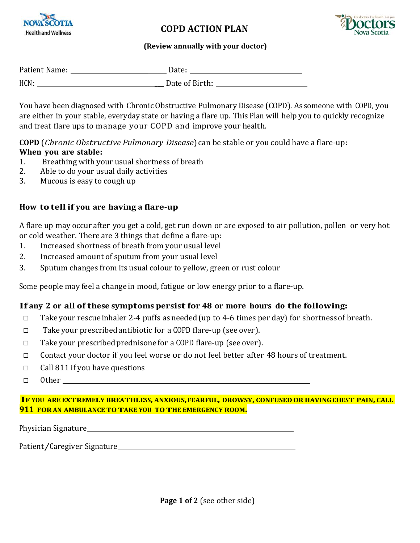

### **COPD ACTION PLAN**



#### **(Review annually with your doctor)**

| Patient Name: | Date:          |
|---------------|----------------|
| HCN:          | Date of Birth: |

You have been diagnosed with Chronic Obstructive Pulmonary Disease (COPD). As someone with COPD, you are either in your stable, everyday state or having a flare up. This Plan will help you to quickly recognize and treat flare ups to manage your COPD and improve your health.

**COPD** (*Chronic Obstructive Pulmonary Disease*) can be stable or you could have a flare-up: **When you are stable:**

- 1. Breathing with your usual shortness of breath
- 2. Able to do your usual daily activities
- 3. Mucous is easy to cough up

### **How to tellif you are having a flare‐up**

A flare up may occur after you get a cold, get run down or are exposed to air pollution, pollen or very hot or cold weather. There are 3 things that define a flare-up:

- 1. Increased shortness of breath from your usual level
- 2. Increased amount of sputum from your usual level
- 3. Sputum changes from its usual colour to yellow, green or rust colour

Some people may feel a change in mood, fatigue or low energy prior to a flare-up.

#### **If any <sup>2</sup> or all ofthese symptoms persistfor <sup>48</sup> or more hours do the following:**

- □ Take your rescue inhaler 2-4 puffs as needed (up to 4-6 times per day) for shortness of breath.
- $\Box$  Take your prescribed antibiotic for a COPD flare-up (see over).
- $\Box$  Take your prescribed prednisone for a COPD flare-up (see over).
- $\Box$  Contact your doctor if you feel worse or do not feel better after 48 hours of treatment.
- $\Box$  Call 811 if you have questions
- □ Other <u>University</u>

#### **IF YOU ARE EXTREMELY BREATHLESS, ANXIOUS,FEARFUL, DROWSY, CONFUSED OR HAVINGCHEST PAIN, CALL 911 FOR AN AMBULANCE TOTAKE YOU TOTHE EMERGENCY ROOM.**

Physician Signature **Exercise Signature Signature** 

Patient/Caregiver Signature